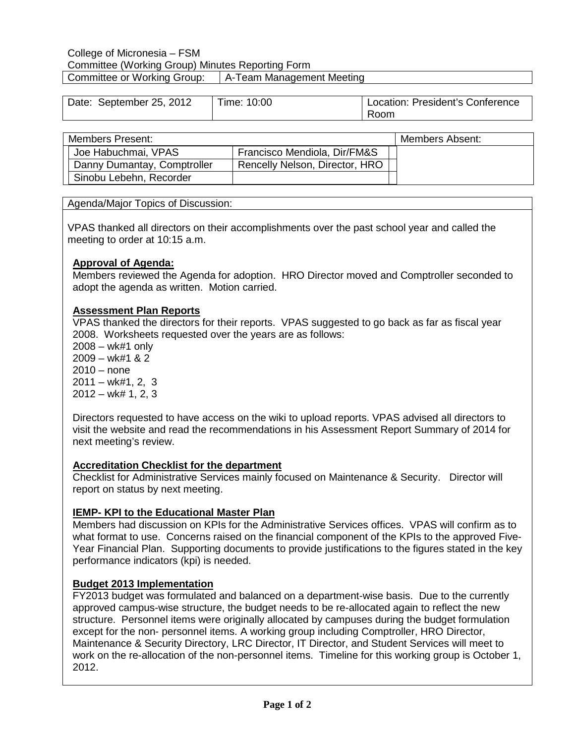#### College of Micronesia – FSM Committee (Working Group) Minutes Reporting Form Committee or Working Group: | A-Team Management Meeting

| Date: September 25, 2012 | Time: 10:00 | Location: President's Conference |
|--------------------------|-------------|----------------------------------|
|                          |             | Room                             |

| <b>Members Present:</b>     |                                | Members Absent: |
|-----------------------------|--------------------------------|-----------------|
| Joe Habuchmai, VPAS         | Francisco Mendiola, Dir/FM&S   |                 |
| Danny Dumantay, Comptroller | Rencelly Nelson, Director, HRO |                 |
| Sinobu Lebehn, Recorder     |                                |                 |

#### Agenda/Major Topics of Discussion:

VPAS thanked all directors on their accomplishments over the past school year and called the meeting to order at 10:15 a.m.

## **Approval of Agenda:**

Members reviewed the Agenda for adoption. HRO Director moved and Comptroller seconded to adopt the agenda as written. Motion carried.

# **Assessment Plan Reports**

VPAS thanked the directors for their reports. VPAS suggested to go back as far as fiscal year 2008. Worksheets requested over the years are as follows:

2008 – wk#1 only  $2009 - wk#1 & 2$ 2010 – none  $2011 - w$ k#1, 2, 3  $2012 - w$ k# 1, 2, 3

Directors requested to have access on the wiki to upload reports. VPAS advised all directors to visit the website and read the recommendations in his Assessment Report Summary of 2014 for next meeting's review.

#### **Accreditation Checklist for the department**

Checklist for Administrative Services mainly focused on Maintenance & Security. Director will report on status by next meeting.

#### **IEMP- KPI to the Educational Master Plan**

Members had discussion on KPIs for the Administrative Services offices. VPAS will confirm as to what format to use. Concerns raised on the financial component of the KPIs to the approved Five-Year Financial Plan. Supporting documents to provide justifications to the figures stated in the key performance indicators (kpi) is needed.

#### **Budget 2013 Implementation**

FY2013 budget was formulated and balanced on a department-wise basis. Due to the currently approved campus-wise structure, the budget needs to be re-allocated again to reflect the new structure. Personnel items were originally allocated by campuses during the budget formulation except for the non- personnel items. A working group including Comptroller, HRO Director, Maintenance & Security Directory, LRC Director, IT Director, and Student Services will meet to work on the re-allocation of the non-personnel items. Timeline for this working group is October 1, 2012.